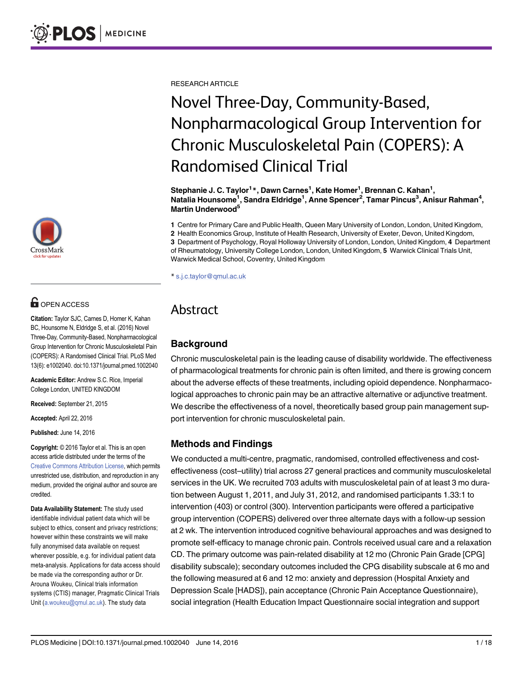

# **G** OPEN ACCESS

Citation: Taylor SJC, Carnes D, Homer K, Kahan BC, Hounsome N, Eldridge S, et al. (2016) Novel Three-Day, Community-Based, Nonpharmacological Group Intervention for Chronic Musculoskeletal Pain (COPERS): A Randomised Clinical Trial. PLoS Med 13(6): e1002040. doi:10.1371/journal.pmed.1002040

Academic Editor: Andrew S.C. Rice, Imperial College London, UNITED KINGDOM

Received: September 21, 2015

Accepted: April 22, 2016

Published: June 14, 2016

Copyright: © 2016 Taylor et al. This is an open access article distributed under the terms of the [Creative Commons Attribution License,](http://creativecommons.org/licenses/by/4.0/) which permits unrestricted use, distribution, and reproduction in any medium, provided the original author and source are credited.

Data Availability Statement: The study used identifiable individual patient data which will be subject to ethics, consent and privacy restrictions; however within these constraints we will make fully anonymised data available on request wherever possible, e.g. for individual patient data meta-analysis. Applications for data access should be made via the corresponding author or Dr. Arouna Woukeu, Clinical trials information systems (CTIS) manager, Pragmatic Clinical Trials Unit (a.woukeu@qmul.ac.uk). The study data

RESEARCH ARTICLE

# Novel Three-Day, Community-Based, Nonpharmacological Group Intervention for Chronic Musculoskeletal Pain (COPERS): A Randomised Clinical Trial

Stephanie J. C. Taylor<sup>1</sup>\*, Dawn Carnes<sup>1</sup>, Kate Homer<sup>1</sup>, Brennan C. Kahan<sup>1</sup>, Natalia Hounsome<sup>1</sup>, Sandra Eldridge<sup>1</sup>, Anne Spencer<sup>2</sup>, Tamar Pincus<sup>3</sup>, Anisur Rahman<sup>4</sup>, Martin Underwood<sup>5</sup>

1 Centre for Primary Care and Public Health, Queen Mary University of London, London, United Kingdom,

2 Health Economics Group, Institute of Health Research, University of Exeter, Devon, United Kingdom,

3 Department of Psychology, Royal Holloway University of London, London, United Kingdom, 4 Department of Rheumatology, University College London, London, United Kingdom, 5 Warwick Clinical Trials Unit, Warwick Medical School, Coventry, United Kingdom

\* s.j.c.taylor@qmul.ac.uk

# Abstract

# **Background**

Chronic musculoskeletal pain is the leading cause of disability worldwide. The effectiveness of pharmacological treatments for chronic pain is often limited, and there is growing concern about the adverse effects of these treatments, including opioid dependence. Nonpharmacological approaches to chronic pain may be an attractive alternative or adjunctive treatment. We describe the effectiveness of a novel, theoretically based group pain management support intervention for chronic musculoskeletal pain.

# Methods and Findings

We conducted a multi-centre, pragmatic, randomised, controlled effectiveness and costeffectiveness (cost–utility) trial across 27 general practices and community musculoskeletal services in the UK. We recruited 703 adults with musculoskeletal pain of at least 3 mo duration between August 1, 2011, and July 31, 2012, and randomised participants 1.33:1 to intervention (403) or control (300). Intervention participants were offered a participative group intervention (COPERS) delivered over three alternate days with a follow-up session at 2 wk. The intervention introduced cognitive behavioural approaches and was designed to promote self-efficacy to manage chronic pain. Controls received usual care and a relaxation CD. The primary outcome was pain-related disability at 12 mo (Chronic Pain Grade [CPG] disability subscale); secondary outcomes included the CPG disability subscale at 6 mo and the following measured at 6 and 12 mo: anxiety and depression (Hospital Anxiety and Depression Scale [HADS]), pain acceptance (Chronic Pain Acceptance Questionnaire), social integration (Health Education Impact Questionnaire social integration and support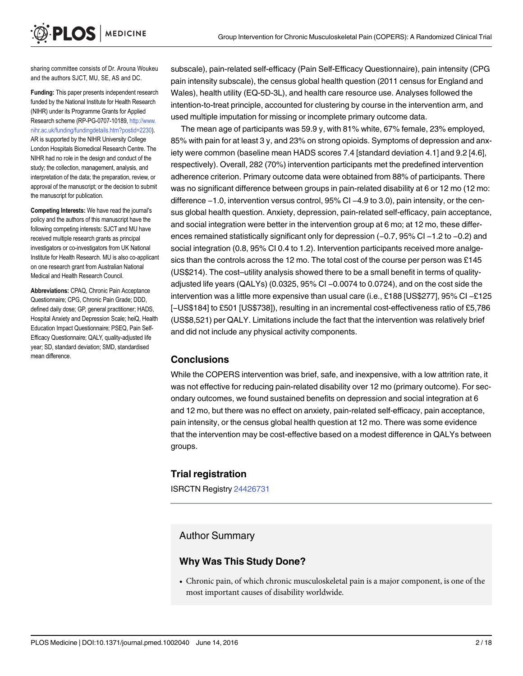**PLOS** | MEDICINE

sharing committee consists of Dr. Arouna Woukeu and the authors SJCT, MU, SE, AS and DC.

Funding: This paper presents independent research funded by the National Institute for Health Research (NIHR) under its Programme Grants for Applied Research scheme (RP-PG-0707-10189, [http://www.](http://www.nihr.ac.uk/funding/fundingdetails.htm?postid=2230) [nihr.ac.uk/funding/fundingdetails.htm?postid=2230\)](http://www.nihr.ac.uk/funding/fundingdetails.htm?postid=2230). AR is supported by the NIHR University College London Hospitals Biomedical Research Centre. The NIHR had no role in the design and conduct of the study; the collection, management, analysis, and interpretation of the data; the preparation, review, or approval of the manuscript; or the decision to submit the manuscript for publication.

Competing Interests: We have read the journal's policy and the authors of this manuscript have the following competing interests: SJCT and MU have received multiple research grants as principal investigators or co-investigators from UK National Institute for Health Research. MU is also co-applicant on one research grant from Australian National Medical and Health Research Council.

Abbreviations: CPAQ, Chronic Pain Acceptance Questionnaire; CPG, Chronic Pain Grade; DDD, defined daily dose; GP, general practitioner; HADS, Hospital Anxiety and Depression Scale; heiQ, Health Education Impact Questionnaire; PSEQ, Pain Self-Efficacy Questionnaire; QALY, quality-adjusted life year; SD, standard deviation; SMD, standardised mean difference.

subscale), pain-related self-efficacy (Pain Self-Efficacy Questionnaire), pain intensity (CPG pain intensity subscale), the census global health question (2011 census for England and Wales), health utility (EQ-5D-3L), and health care resource use. Analyses followed the intention-to-treat principle, accounted for clustering by course in the intervention arm, and used multiple imputation for missing or incomplete primary outcome data.

The mean age of participants was 59.9 y, with 81% white, 67% female, 23% employed, 85% with pain for at least 3 y, and 23% on strong opioids. Symptoms of depression and anxiety were common (baseline mean HADS scores 7.4 [standard deviation 4.1] and 9.2 [4.6], respectively). Overall, 282 (70%) intervention participants met the predefined intervention adherence criterion. Primary outcome data were obtained from 88% of participants. There was no significant difference between groups in pain-related disability at 6 or 12 mo (12 mo: adherence criterion. Primary outcome data were obtained from 88% of participants. There<br>was no significant difference between groups in pain-related disability at 6 or 12 mo (12 m<br>difference −1.0, intervention versus cont sus global health question. Anxiety, depression, pain-related self-efficacy, pain acceptance, and social integration were better in the intervention group at 6 mo; at 12 mo, these differsus global health question. Anxiety, depression, pain-related self-efficacy, pain acceptance<br>and social integration were better in the intervention group at 6 mo; at 12 mo, these differ-<br>ences remained statistically signi social integration (0.8, 95% CI 0.4 to 1.2). Intervention participants received more analgesics than the controls across the 12 mo. The total cost of the course per person was £145 (US\$214). The cost–utility analysis showed there to be a small benefit in terms of qualityadjusted life years (QALYs) (0.0325, 95% CI <sup>−</sup>0.0074 to 0.0724), and on the cost side the (US\$214). The cost–utility analysis showed there to be a small benefit in terms of quality-<br>adjusted life years (QALYs) (0.0325, 95% CI −0.0074 to 0.0724), and on the cost side the<br>intervention was a little more expensive adjusted life years (QALYs) (0.0325, 95% Cl –0.0074 to 0.0724), and on the cost side the<br>intervention was a little more expensive than usual care (i.e., £188 [US\$277], 95% Cl –£125<br>[–US\$184] to £501 [US\$738]), resulting i (US\$8,521) per QALY. Limitations include the fact that the intervention was relatively brief and did not include any physical activity components.

# **Conclusions**

While the COPERS intervention was brief, safe, and inexpensive, with a low attrition rate, it was not effective for reducing pain-related disability over 12 mo (primary outcome). For secondary outcomes, we found sustained benefits on depression and social integration at 6 and 12 mo, but there was no effect on anxiety, pain-related self-efficacy, pain acceptance, pain intensity, or the census global health question at 12 mo. There was some evidence that the intervention may be cost-effective based on a modest difference in QALYs between groups.

# Trial registration

ISRCTN Registry [24426731](http://www.isrctn.com/ISRCTN24426731)

# Author Summary

# Why Was This Study Done?

• Chronic pain, of which chronic musculoskeletal pain is a major component, is one of the most important causes of disability worldwide.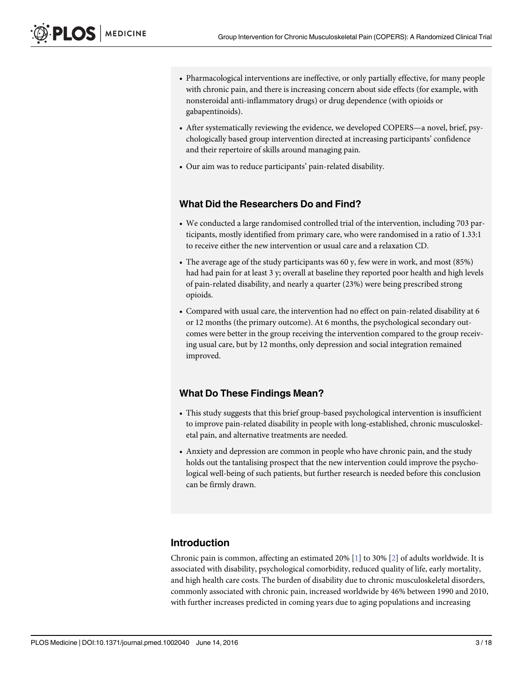- <span id="page-2-0"></span>• Pharmacological interventions are ineffective, or only partially effective, for many people with chronic pain, and there is increasing concern about side effects (for example, with nonsteroidal anti-inflammatory drugs) or drug dependence (with opioids or gabapentinoids).
- After systematically reviewing the evidence, we developed COPERS—a novel, brief, psychologically based group intervention directed at increasing participants' confidence and their repertoire of skills around managing pain.
- Our aim was to reduce participants' pain-related disability.

#### What Did the Researchers Do and Find?

- We conducted a large randomised controlled trial of the intervention, including 703 participants, mostly identified from primary care, who were randomised in a ratio of 1.33:1 to receive either the new intervention or usual care and a relaxation CD.
- The average age of the study participants was 60 y, few were in work, and most (85%) had had pain for at least 3 y; overall at baseline they reported poor health and high levels of pain-related disability, and nearly a quarter (23%) were being prescribed strong opioids.
- Compared with usual care, the intervention had no effect on pain-related disability at 6 or 12 months (the primary outcome). At 6 months, the psychological secondary outcomes were better in the group receiving the intervention compared to the group receiving usual care, but by 12 months, only depression and social integration remained improved.

#### What Do These Findings Mean?

- This study suggests that this brief group-based psychological intervention is insufficient to improve pain-related disability in people with long-established, chronic musculoskeletal pain, and alternative treatments are needed.
- Anxiety and depression are common in people who have chronic pain, and the study holds out the tantalising prospect that the new intervention could improve the psychological well-being of such patients, but further research is needed before this conclusion can be firmly drawn.

#### Introduction

Chronic pain is common, affecting an estimated [2](#page-15-0)0%  $[1]$  to 30%  $[2]$  of adults worldwide. It is associated with disability, psychological comorbidity, reduced quality of life, early mortality, and high health care costs. The burden of disability due to chronic musculoskeletal disorders, commonly associated with chronic pain, increased worldwide by 46% between 1990 and 2010, with further increases predicted in coming years due to aging populations and increasing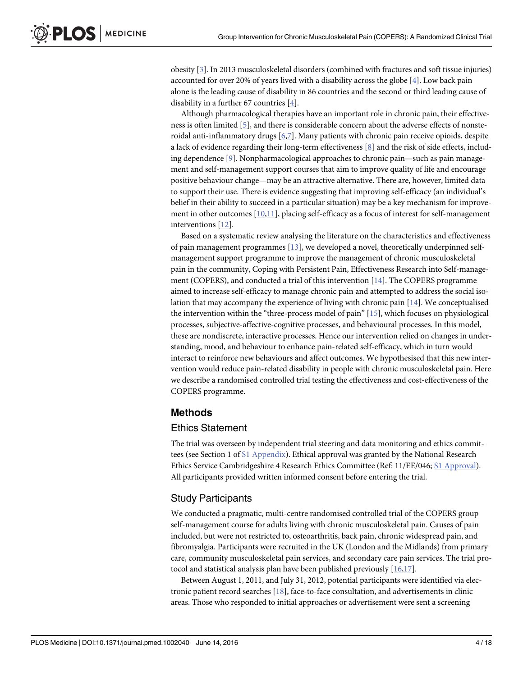<span id="page-3-0"></span>obesity [[3](#page-15-0)]. In 2013 musculoskeletal disorders (combined with fractures and soft tissue injuries) accounted for over 20% of years lived with a disability across the globe [[4\]](#page-15-0). Low back pain alone is the leading cause of disability in 86 countries and the second or third leading cause of disability in a further 67 countries [[4](#page-15-0)].

Although pharmacological therapies have an important role in chronic pain, their effectiveness is often limited  $[5]$ , and there is considerable concern about the adverse effects of nonsteroidal anti-inflammatory drugs [\[6,7](#page-15-0)]. Many patients with chronic pain receive opioids, despite a lack of evidence regarding their long-term effectiveness [[8](#page-15-0)] and the risk of side effects, including dependence  $[9]$  $[9]$ . Nonpharmacological approaches to chronic pain—such as pain management and self-management support courses that aim to improve quality of life and encourage positive behaviour change—may be an attractive alternative. There are, however, limited data to support their use. There is evidence suggesting that improving self-efficacy (an individual's belief in their ability to succeed in a particular situation) may be a key mechanism for improvement in other outcomes [[10,11\]](#page-15-0), placing self-efficacy as a focus of interest for self-management interventions [\[12\]](#page-15-0).

Based on a systematic review analysing the literature on the characteristics and effectiveness of pain management programmes [\[13\]](#page-15-0), we developed a novel, theoretically underpinned selfmanagement support programme to improve the management of chronic musculoskeletal pain in the community, Coping with Persistent Pain, Effectiveness Research into Self-management (COPERS), and conducted a trial of this intervention [[14\]](#page-15-0). The COPERS programme aimed to increase self-efficacy to manage chronic pain and attempted to address the social isolation that may accompany the experience of living with chronic pain [[14](#page-15-0)]. We conceptualised the intervention within the "three-process model of pain" [[15](#page-15-0)], which focuses on physiological processes, subjective-affective-cognitive processes, and behavioural processes. In this model, these are nondiscrete, interactive processes. Hence our intervention relied on changes in understanding, mood, and behaviour to enhance pain-related self-efficacy, which in turn would interact to reinforce new behaviours and affect outcomes. We hypothesised that this new intervention would reduce pain-related disability in people with chronic musculoskeletal pain. Here we describe a randomised controlled trial testing the effectiveness and cost-effectiveness of the COPERS programme.

#### Methods

#### Ethics Statement

The trial was overseen by independent trial steering and data monitoring and ethics committees (see Section 1 of [S1 Appendix](#page-14-0)). Ethical approval was granted by the National Research Ethics Service Cambridgeshire 4 Research Ethics Committee (Ref: 11/EE/046; [S1 Approval\)](#page-14-0). All participants provided written informed consent before entering the trial.

# Study Participants

We conducted a pragmatic, multi-centre randomised controlled trial of the COPERS group self-management course for adults living with chronic musculoskeletal pain. Causes of pain included, but were not restricted to, osteoarthritis, back pain, chronic widespread pain, and fibromyalgia. Participants were recruited in the UK (London and the Midlands) from primary care, community musculoskeletal pain services, and secondary care pain services. The trial protocol and statistical analysis plan have been published previously [[16,17](#page-16-0)].

Between August 1, 2011, and July 31, 2012, potential participants were identified via electronic patient record searches [[18\]](#page-16-0), face-to-face consultation, and advertisements in clinic areas. Those who responded to initial approaches or advertisement were sent a screening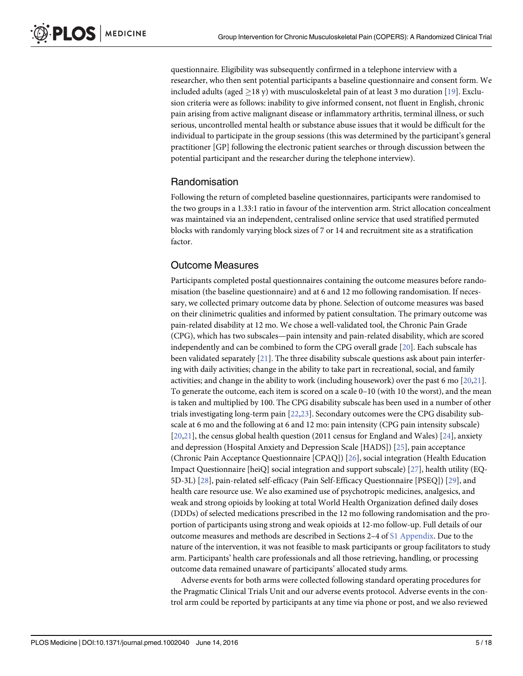<span id="page-4-0"></span>questionnaire. Eligibility was subsequently confirmed in a telephone interview with a researcher, who then sent potential participants a baseline questionnaire and consent form. We included adults (aged  $\geq$  18 y) with musculoskeletal pain of at least 3 mo duration [[19](#page-16-0)]. Exclusion criteria were as follows: inability to give informed consent, not fluent in English, chronic pain arising from active malignant disease or inflammatory arthritis, terminal illness, or such serious, uncontrolled mental health or substance abuse issues that it would be difficult for the individual to participate in the group sessions (this was determined by the participant's general practitioner [GP] following the electronic patient searches or through discussion between the potential participant and the researcher during the telephone interview).

#### Randomisation

Following the return of completed baseline questionnaires, participants were randomised to the two groups in a 1.33:1 ratio in favour of the intervention arm. Strict allocation concealment was maintained via an independent, centralised online service that used stratified permuted blocks with randomly varying block sizes of 7 or 14 and recruitment site as a stratification factor.

# Outcome Measures

Participants completed postal questionnaires containing the outcome measures before randomisation (the baseline questionnaire) and at 6 and 12 mo following randomisation. If necessary, we collected primary outcome data by phone. Selection of outcome measures was based on their clinimetric qualities and informed by patient consultation. The primary outcome was pain-related disability at 12 mo. We chose a well-validated tool, the Chronic Pain Grade (CPG), which has two subscales—pain intensity and pain-related disability, which are scored independently and can be combined to form the CPG overall grade [[20\]](#page-16-0). Each subscale has been validated separately [[21](#page-16-0)]. The three disability subscale questions ask about pain interfering with daily activities; change in the ability to take part in recreational, social, and family activities; and change in the ability to work (including housework) over the past 6 mo [[20,21\]](#page-16-0). To generate the outcome, each item is scored on a scale 0–10 (with 10 the worst), and the mean is taken and multiplied by 100. The CPG disability subscale has been used in a number of other trials investigating long-term pain [\[22,23\]](#page-16-0). Secondary outcomes were the CPG disability subscale at 6 mo and the following at 6 and 12 mo: pain intensity (CPG pain intensity subscale)  $[20,21]$ , the census global health question (2011 census for England and Wales)  $[24]$  $[24]$ , anxiety and depression (Hospital Anxiety and Depression Scale [HADS]) [\[25\]](#page-16-0), pain acceptance (Chronic Pain Acceptance Questionnaire [CPAQ]) [[26\]](#page-16-0), social integration (Health Education Impact Questionnaire [heiQ] social integration and support subscale) [[27](#page-16-0)], health utility (EQ-5D-3L) [[28](#page-16-0)], pain-related self-efficacy (Pain Self-Efficacy Questionnaire [PSEQ]) [[29\]](#page-16-0), and health care resource use. We also examined use of psychotropic medicines, analgesics, and weak and strong opioids by looking at total World Health Organization defined daily doses (DDDs) of selected medications prescribed in the 12 mo following randomisation and the proportion of participants using strong and weak opioids at 12-mo follow-up. Full details of our outcome measures and methods are described in Sections 2–4 of [S1 Appendix.](#page-14-0) Due to the nature of the intervention, it was not feasible to mask participants or group facilitators to study arm. Participants' health care professionals and all those retrieving, handling, or processing outcome data remained unaware of participants' allocated study arms.

Adverse events for both arms were collected following standard operating procedures for the Pragmatic Clinical Trials Unit and our adverse events protocol. Adverse events in the control arm could be reported by participants at any time via phone or post, and we also reviewed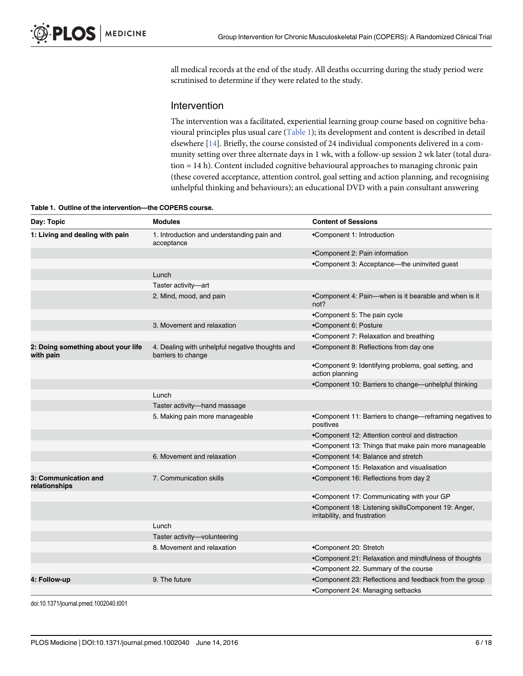all medical records at the end of the study. All deaths occurring during the study period were scrutinised to determine if they were related to the study.

#### Intervention

The intervention was a facilitated, experiential learning group course based on cognitive behavioural principles plus usual care (Table 1); its development and content is described in detail elsewhere [\[14\]](#page-15-0). Briefly, the course consisted of 24 individual components delivered in a community setting over three alternate days in 1 wk, with a follow-up session 2 wk later (total duration = 14 h). Content included cognitive behavioural approaches to managing chronic pain (these covered acceptance, attention control, goal setting and action planning, and recognising unhelpful thinking and behaviours); an educational DVD with a pain consultant answering

Table 1. Outline of the intervention—the COPERS course.

| Day: Topic                                      | <b>Modules</b>                                                        | <b>Content of Sessions</b>                                                           |
|-------------------------------------------------|-----------------------------------------------------------------------|--------------------------------------------------------------------------------------|
| 1: Living and dealing with pain                 | 1. Introduction and understanding pain and<br>acceptance              | •Component 1: Introduction                                                           |
|                                                 |                                                                       | •Component 2: Pain information                                                       |
|                                                 |                                                                       | •Component 3: Acceptance-the uninvited guest                                         |
|                                                 | Lunch                                                                 |                                                                                      |
|                                                 | Taster activity-art                                                   |                                                                                      |
|                                                 | 2. Mind, mood, and pain                                               | •Component 4: Pain--when is it bearable and when is it<br>not?                       |
|                                                 |                                                                       | •Component 5: The pain cycle                                                         |
|                                                 | 3. Movement and relaxation                                            | •Component 6: Posture                                                                |
|                                                 |                                                                       | •Component 7: Relaxation and breathing                                               |
| 2: Doing something about your life<br>with pain | 4. Dealing with unhelpful negative thoughts and<br>barriers to change | •Component 8: Reflections from day one                                               |
|                                                 |                                                                       | •Component 9: Identifying problems, goal setting, and<br>action planning             |
|                                                 |                                                                       | •Component 10: Barriers to change—unhelpful thinking                                 |
|                                                 | Lunch                                                                 |                                                                                      |
|                                                 | Taster activity-hand massage                                          |                                                                                      |
|                                                 | 5. Making pain more manageable                                        | •Component 11: Barriers to change—reframing negatives to<br>positives                |
|                                                 |                                                                       | •Component 12: Attention control and distraction                                     |
|                                                 |                                                                       | •Component 13: Things that make pain more manageable                                 |
|                                                 | 6. Movement and relaxation                                            | •Component 14: Balance and stretch                                                   |
|                                                 |                                                                       | •Component 15: Relaxation and visualisation                                          |
| 3: Communication and<br>relationships           | 7. Communication skills                                               | •Component 16: Reflections from day 2                                                |
|                                                 |                                                                       | .Component 17: Communicating with your GP                                            |
|                                                 |                                                                       | •Component 18: Listening skillsComponent 19: Anger,<br>irritability, and frustration |
|                                                 | Lunch                                                                 |                                                                                      |
|                                                 | Taster activity-volunteering                                          |                                                                                      |
|                                                 | 8. Movement and relaxation                                            | •Component 20: Stretch                                                               |
|                                                 |                                                                       | .Component 21: Relaxation and mindfulness of thoughts                                |
|                                                 |                                                                       | .Component 22. Summary of the course                                                 |
| 4: Follow-up                                    | 9. The future                                                         | .Component 23: Reflections and feedback from the group                               |
|                                                 |                                                                       | •Component 24: Managing setbacks                                                     |

doi:10.1371/journal.pmed.1002040.t001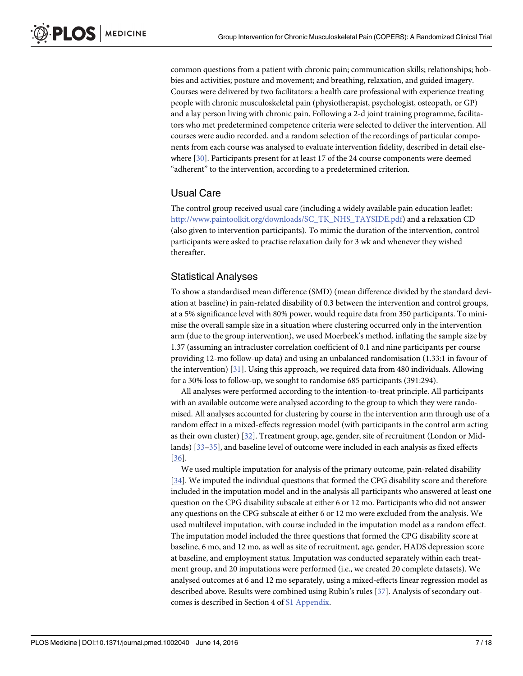<span id="page-6-0"></span>common questions from a patient with chronic pain; communication skills; relationships; hobbies and activities; posture and movement; and breathing, relaxation, and guided imagery. Courses were delivered by two facilitators: a health care professional with experience treating people with chronic musculoskeletal pain (physiotherapist, psychologist, osteopath, or GP) and a lay person living with chronic pain. Following a 2-d joint training programme, facilitators who met predetermined competence criteria were selected to deliver the intervention. All courses were audio recorded, and a random selection of the recordings of particular components from each course was analysed to evaluate intervention fidelity, described in detail elsewhere  $[30]$  $[30]$  $[30]$ . Participants present for at least 17 of the 24 course components were deemed "adherent" to the intervention, according to a predetermined criterion.

# Usual Care

The control group received usual care (including a widely available pain education leaflet: [http://www.paintoolkit.org/downloads/SC\\_TK\\_NHS\\_TAYSIDE.pdf](http://www.paintoolkit.org/downloads/SC_TK_NHS_TAYSIDE.pdf)) and a relaxation CD (also given to intervention participants). To mimic the duration of the intervention, control participants were asked to practise relaxation daily for 3 wk and whenever they wished thereafter.

# Statistical Analyses

To show a standardised mean difference (SMD) (mean difference divided by the standard deviation at baseline) in pain-related disability of 0.3 between the intervention and control groups, at a 5% significance level with 80% power, would require data from 350 participants. To minimise the overall sample size in a situation where clustering occurred only in the intervention arm (due to the group intervention), we used Moerbeek's method, inflating the sample size by 1.37 (assuming an intracluster correlation coefficient of 0.1 and nine participants per course providing 12-mo follow-up data) and using an unbalanced randomisation (1.33:1 in favour of the intervention) [ $31$ ]. Using this approach, we required data from 480 individuals. Allowing for a 30% loss to follow-up, we sought to randomise 685 participants (391:294).

All analyses were performed according to the intention-to-treat principle. All participants with an available outcome were analysed according to the group to which they were randomised. All analyses accounted for clustering by course in the intervention arm through use of a random effect in a mixed-effects regression model (with participants in the control arm acting as their own cluster) [\[32\]](#page-16-0). Treatment group, age, gender, site of recruitment (London or Midlands) [\[33](#page-16-0)–[35\]](#page-16-0), and baseline level of outcome were included in each analysis as fixed effects [\[36](#page-16-0)].

We used multiple imputation for analysis of the primary outcome, pain-related disability [\[34](#page-16-0)]. We imputed the individual questions that formed the CPG disability score and therefore included in the imputation model and in the analysis all participants who answered at least one question on the CPG disability subscale at either 6 or 12 mo. Participants who did not answer any questions on the CPG subscale at either 6 or 12 mo were excluded from the analysis. We used multilevel imputation, with course included in the imputation model as a random effect. The imputation model included the three questions that formed the CPG disability score at baseline, 6 mo, and 12 mo, as well as site of recruitment, age, gender, HADS depression score at baseline, and employment status. Imputation was conducted separately within each treatment group, and 20 imputations were performed (i.e., we created 20 complete datasets). We analysed outcomes at 6 and 12 mo separately, using a mixed-effects linear regression model as described above. Results were combined using Rubin's rules [[37\]](#page-16-0). Analysis of secondary outcomes is described in Section 4 of [S1 Appendix.](#page-14-0)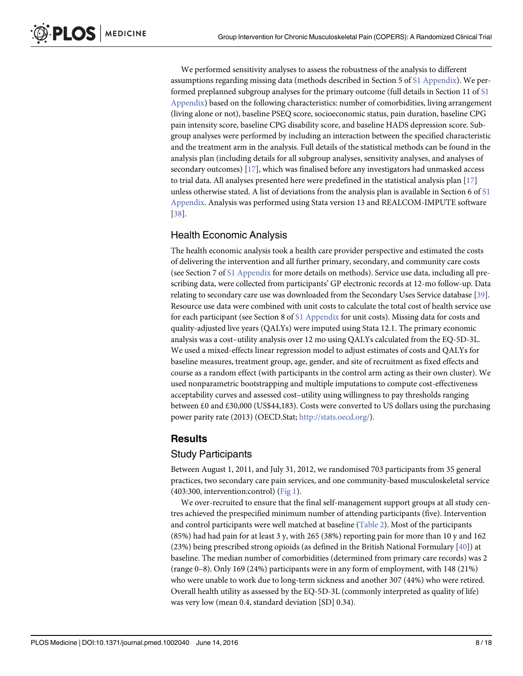<span id="page-7-0"></span>We performed sensitivity analyses to assess the robustness of the analysis to different assumptions regarding missing data (methods described in Section 5 of [S1 Appendix\)](#page-14-0). We performed preplanned subgroup analyses for the primary outcome (full details in Section 11 of [S1](#page-14-0) [Appendix](#page-14-0)) based on the following characteristics: number of comorbidities, living arrangement (living alone or not), baseline PSEQ score, socioeconomic status, pain duration, baseline CPG pain intensity score, baseline CPG disability score, and baseline HADS depression score. Subgroup analyses were performed by including an interaction between the specified characteristic and the treatment arm in the analysis. Full details of the statistical methods can be found in the analysis plan (including details for all subgroup analyses, sensitivity analyses, and analyses of secondary outcomes) [[17\]](#page-16-0), which was finalised before any investigators had unmasked access to trial data. All analyses presented here were predefined in the statistical analysis plan [[17\]](#page-16-0) unless otherwise stated. A list of deviations from the analysis plan is available in Section 6 of  $S1$ [Appendix](#page-14-0). Analysis was performed using Stata version 13 and REALCOM-IMPUTE software [\[38](#page-16-0)].

#### Health Economic Analysis

The health economic analysis took a health care provider perspective and estimated the costs of delivering the intervention and all further primary, secondary, and community care costs (see Section 7 of [S1 Appendix](#page-14-0) for more details on methods). Service use data, including all prescribing data, were collected from participants' GP electronic records at 12-mo follow-up. Data relating to secondary care use was downloaded from the Secondary Uses Service database [\[39\]](#page-16-0). Resource use data were combined with unit costs to calculate the total cost of health service use for each participant (see Section 8 of [S1 Appendix](#page-14-0) for unit costs). Missing data for costs and quality-adjusted live years (QALYs) were imputed using Stata 12.1. The primary economic analysis was a cost–utility analysis over 12 mo using QALYs calculated from the EQ-5D-3L. We used a mixed-effects linear regression model to adjust estimates of costs and QALYs for baseline measures, treatment group, age, gender, and site of recruitment as fixed effects and course as a random effect (with participants in the control arm acting as their own cluster). We used nonparametric bootstrapping and multiple imputations to compute cost-effectiveness acceptability curves and assessed cost–utility using willingness to pay thresholds ranging between £0 and £30,000 (US\$44,183). Costs were converted to US dollars using the purchasing power parity rate (2013) (OECD.Stat; [http://stats.oecd.org/\)](http://stats.oecd.org/).

# **Results**

#### Study Participants

Between August 1, 2011, and July 31, 2012, we randomised 703 participants from 35 general practices, two secondary care pain services, and one community-based musculoskeletal service (403:300, intervention:control) ([Fig 1](#page-8-0)).

We over-recruited to ensure that the final self-management support groups at all study centres achieved the prespecified minimum number of attending participants (five). Intervention and control participants were well matched at baseline ([Table 2\)](#page-9-0). Most of the participants (85%) had had pain for at least 3 y, with 265 (38%) reporting pain for more than 10 y and 162 (23%) being prescribed strong opioids (as defined in the British National Formulary  $[40]$ ) at baseline. The median number of comorbidities (determined from primary care records) was 2 (range 0–8). Only 169 (24%) participants were in any form of employment, with 148 (21%) who were unable to work due to long-term sickness and another 307 (44%) who were retired. Overall health utility as assessed by the EQ-5D-3L (commonly interpreted as quality of life) was very low (mean 0.4, standard deviation [SD] 0.34).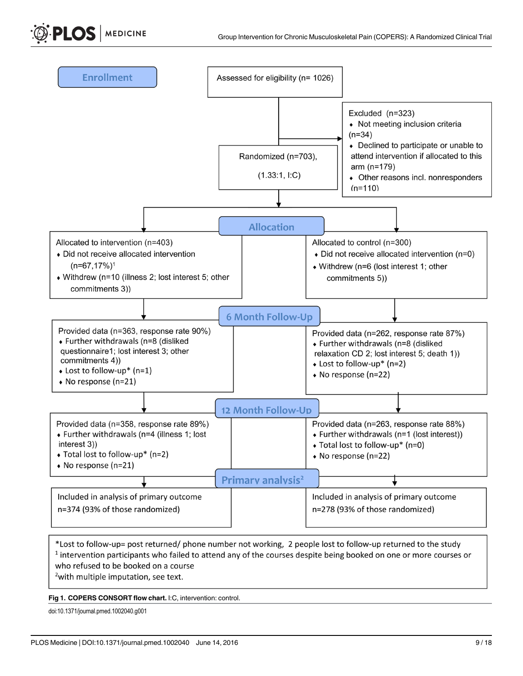<span id="page-8-0"></span>

 $<sup>1</sup>$  intervention participants who failed to attend any of the courses despite being booked on one or more courses or</sup> who refused to be booked on a course <sup>2</sup> with multiple imputation, see text.

#### [Fig 1. C](#page-7-0)OPERS CONSORT flow chart. I:C, intervention: control.

doi:10.1371/journal.pmed.1002040.g001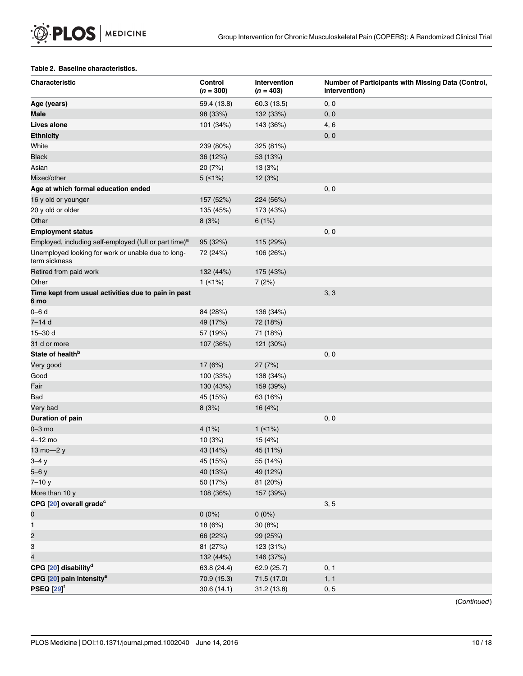#### <span id="page-9-0"></span>[Table 2.](#page-7-0) Baseline characteristics.

| Characteristic                                                      | Control<br>$(n = 300)$ | Intervention<br>$(n = 403)$ | Number of Participants with Missing Data (Control,<br>Intervention) |
|---------------------------------------------------------------------|------------------------|-----------------------------|---------------------------------------------------------------------|
| Age (years)                                                         | 59.4 (13.8)            | 60.3 (13.5)                 | 0, 0                                                                |
| Male                                                                | 98 (33%)               | 132 (33%)                   | 0, 0                                                                |
| Lives alone                                                         | 101 (34%)              | 143 (36%)                   | 4, 6                                                                |
| <b>Ethnicity</b>                                                    |                        |                             | 0, 0                                                                |
| White                                                               | 239 (80%)              | 325 (81%)                   |                                                                     |
| <b>Black</b>                                                        | 36 (12%)               | 53 (13%)                    |                                                                     |
| Asian                                                               | 20 (7%)                | 13(3%)                      |                                                                     |
| Mixed/other                                                         | 5(1%)                  | 12 (3%)                     |                                                                     |
| Age at which formal education ended                                 |                        |                             | 0, 0                                                                |
| 16 y old or younger                                                 | 157 (52%)              | 224 (56%)                   |                                                                     |
| 20 y old or older                                                   | 135 (45%)              | 173 (43%)                   |                                                                     |
| Other                                                               | 8(3%)                  | 6(1%)                       |                                                                     |
| <b>Employment status</b>                                            |                        |                             | 0, 0                                                                |
| Employed, including self-employed (full or part time) <sup>a</sup>  | 95 (32%)               | 115 (29%)                   |                                                                     |
| Unemployed looking for work or unable due to long-<br>term sickness | 72 (24%)               | 106 (26%)                   |                                                                     |
| Retired from paid work                                              | 132 (44%)              | 175 (43%)                   |                                                                     |
| Other                                                               | $1(1\%)$               | 7(2%)                       |                                                                     |
| Time kept from usual activities due to pain in past<br>6 mo         |                        |                             | 3, 3                                                                |
| $0 - 6d$                                                            | 84 (28%)               | 136 (34%)                   |                                                                     |
| 7-14 d                                                              | 49 (17%)               | 72 (18%)                    |                                                                     |
| $15 - 30$ d                                                         | 57 (19%)               | 71 (18%)                    |                                                                     |
| 31 d or more                                                        | 107 (36%)              | 121 (30%)                   |                                                                     |
| State of health <sup>b</sup>                                        |                        |                             | 0, 0                                                                |
| Very good                                                           | 17(6%)                 | 27(7%)                      |                                                                     |
| Good                                                                | 100 (33%)              | 138 (34%)                   |                                                                     |
| Fair                                                                | 130 (43%)              | 159 (39%)                   |                                                                     |
| Bad                                                                 | 45 (15%)               | 63 (16%)                    |                                                                     |
| Very bad                                                            | 8(3%)                  | 16 (4%)                     |                                                                     |
| Duration of pain                                                    |                        |                             | 0, 0                                                                |
| $0 - 3$ mo                                                          | 4(1%)                  | $1$ (<1%)                   |                                                                     |
| $4-12$ mo                                                           | 10 (3%)                | 15 (4%)                     |                                                                     |
| 13 mo-2 y                                                           | 43 (14%)               | 45 (11%)                    |                                                                     |
| 3–4 y                                                               | 45 (15%)               | 55 (14%)                    |                                                                     |
| $5-6y$                                                              | 40 (13%)               | 49 (12%)                    |                                                                     |
| $7-10y$                                                             | 50 (17%)               | 81 (20%)                    |                                                                     |
| More than 10 y                                                      | 108 (36%)              | 157 (39%)                   |                                                                     |
| CPG [20] overall grade <sup>c</sup>                                 |                        |                             | 3, 5                                                                |
| 0                                                                   | $0(0\%)$               | $0(0\%)$                    |                                                                     |
| $\mathbf{1}$                                                        | 18 (6%)                | 30 (8%)                     |                                                                     |
| $\overline{\mathbf{c}}$                                             | 66 (22%)               | 99 (25%)                    |                                                                     |
| 3                                                                   | 81 (27%)               | 123 (31%)                   |                                                                     |
| $\overline{\mathbf{4}}$                                             | 132 (44%)              | 146 (37%)                   |                                                                     |
| CPG [20] disability <sup>d</sup>                                    | 63.8 (24.4)            | 62.9 (25.7)                 | 0, 1                                                                |
| CPG [20] pain intensity <sup>e</sup>                                | 70.9 (15.3)            | 71.5 (17.0)                 | 1, 1                                                                |
| <b>PSEQ</b> [29] <sup>f</sup>                                       | 30.6(14.1)             | 31.2(13.8)                  | 0, 5                                                                |

(Continued)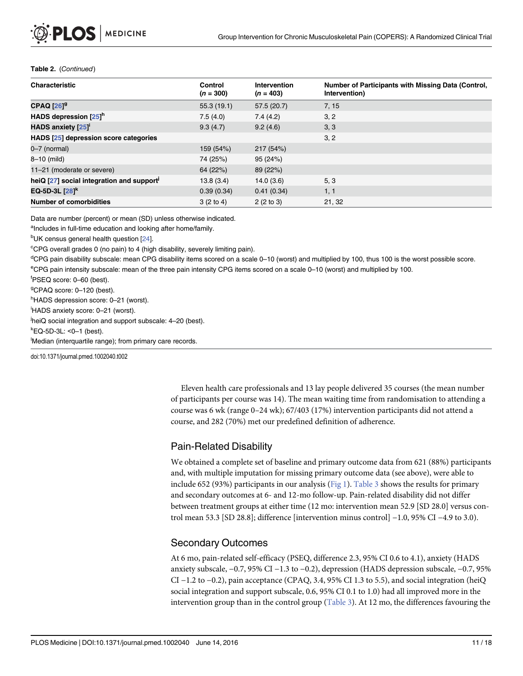#### <span id="page-10-0"></span>Table 2. (Continued)

| <b>Characteristic</b>                                 | Control<br>$(n = 300)$ | Intervention<br>$(n = 403)$ | Number of Participants with Missing Data (Control,<br>Intervention) |
|-------------------------------------------------------|------------------------|-----------------------------|---------------------------------------------------------------------|
| CPAQ $[26]$ <sup>g</sup>                              | 55.3(19.1)             | 57.5 (20.7)                 | 7, 15                                                               |
| HADS depression [25] <sup>h</sup>                     | 7.5(4.0)               | 7.4(4.2)                    | 3, 2                                                                |
| HADS anxiety [25]'                                    | 9.3(4.7)               | 9.2(4.6)                    | 3, 3                                                                |
| HADS [25] depression score categories                 |                        |                             | 3, 2                                                                |
| 0-7 (normal)                                          | 159 (54%)              | 217 (54%)                   |                                                                     |
| 8–10 (mild)                                           | 74 (25%)               | 95(24%)                     |                                                                     |
| 11-21 (moderate or severe)                            | 64 (22%)               | 89 (22%)                    |                                                                     |
| heiQ [27] social integration and support <sup>j</sup> | 13.8(3.4)              | 14.0(3.6)                   | 5, 3                                                                |
| EQ-5D-3L $[28]^{k}$                                   | 0.39(0.34)             | 0.41(0.34)                  | 1, 1                                                                |
| <b>Number of comorbidities</b>                        | 3(2 to 4)              | 2(2 to 3)                   | 21, 32                                                              |

Data are number (percent) or mean (SD) unless otherwise indicated.

alncludes in full-time education and looking after home/family.

<sup>b</sup>UK census general health question [[24](#page-16-0)].

<sup>c</sup>CPG overall grades 0 (no pain) to 4 (high disability, severely limiting pain).

<sup>d</sup>CPG pain disability subscale: mean CPG disability items scored on a scale 0–10 (worst) and multiplied by 100, thus 100 is the worst possible score. e CPG pain intensity subscale: mean of the three pain intensity CPG items scored on a scale 0–10 (worst) and multiplied by 100.

f PSEQ score: 0–60 (best).

<sup>g</sup>CPAQ score: 0-120 (best).

<sup>h</sup>HADS depression score: 0-21 (worst).

i HADS anxiety score: 0–21 (worst).

heiQ social integration and support subscale: 4-20 (best).

k EQ-5D-3L: <0–1 (best).

l Median (interquartile range); from primary care records.

doi:10.1371/journal.pmed.1002040.t002

Eleven health care professionals and 13 lay people delivered 35 courses (the mean number of participants per course was 14). The mean waiting time from randomisation to attending a course was 6 wk (range 0–24 wk); 67/403 (17%) intervention participants did not attend a course, and 282 (70%) met our predefined definition of adherence.

#### Pain-Related Disability

We obtained a complete set of baseline and primary outcome data from 621 (88%) participants and, with multiple imputation for missing primary outcome data (see above), were able to include 652 (93%) participants in our analysis ([Fig 1](#page-8-0)). [Table 3](#page-11-0) shows the results for primary and secondary outcomes at 6- and 12-mo follow-up. Pain-related disability did not differ between treatment groups at either time (12 mo: intervention mean 52.9 [SD 28.0] versus control mean 53.3 [SD 28.8]; difference [intervention minus control] −1.0, 95% CI −4.9 to 3.0).

#### Secondary Outcomes

At 6 mo, pain-related self-efficacy (PSEQ, difference 2.3, 95% CI 0.6 to 4.1), anxiety (HADS anxiety subscale, −0.7, 95% CI −1.3 to −0.2), depression (HADS depression subscale, −0.7, 95% CI −1.2 to −0.2), pain acceptance (CPAQ, 3.4, 95% CI 1.3 to 5.5), and social integration (heiQ social integration and support subscale, 0.6, 95% CI 0.1 to 1.0) had all improved more in the intervention group than in the control group  $(Table 3)$  $(Table 3)$ . At 12 mo, the differences favouring the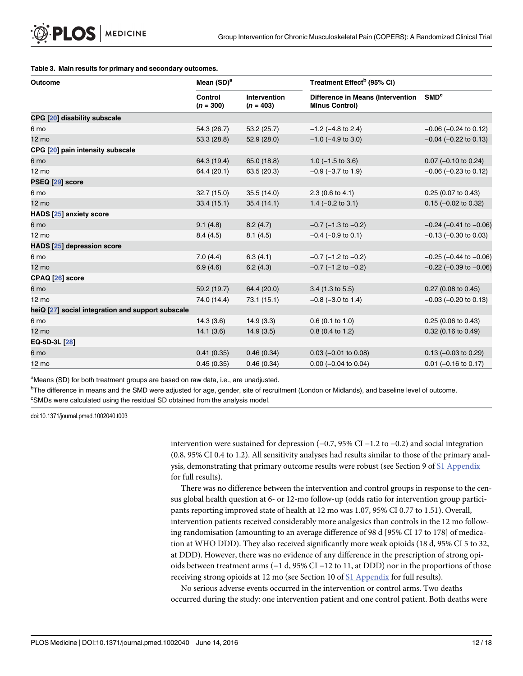<span id="page-11-0"></span>

| Table 3. Main results for primary and secondary outcomes. |  |  |
|-----------------------------------------------------------|--|--|
|                                                           |  |  |

| <b>Outcome</b>                                    | Mean (SD) <sup>a</sup> |                             | Treatment Effect <sup>b</sup> (95% CI)                     |                                |  |
|---------------------------------------------------|------------------------|-----------------------------|------------------------------------------------------------|--------------------------------|--|
|                                                   | Control<br>$(n = 300)$ | Intervention<br>$(n = 403)$ | Difference in Means (Intervention<br><b>Minus Control)</b> | SMD <sup>c</sup>               |  |
| CPG [20] disability subscale                      |                        |                             |                                                            |                                |  |
| 6 mo                                              | 54.3 (26.7)            | 53.2(25.7)                  | $-1.2$ ( $-4.8$ to 2.4)                                    | $-0.06$ ( $-0.24$ to 0.12)     |  |
| 12 mo                                             | 53.3 (28.8)            | 52.9(28.0)                  | $-1.0$ ( $-4.9$ to 3.0)                                    | $-0.04$ ( $-0.22$ to 0.13)     |  |
| CPG [20] pain intensity subscale                  |                        |                             |                                                            |                                |  |
| 6 mo                                              | 64.3 (19.4)            | 65.0 (18.8)                 | 1.0 $(-1.5$ to 3.6)                                        | $0.07$ (-0.10 to 0.24)         |  |
| $12 \text{ mo}$                                   | 64.4 (20.1)            | 63.5 (20.3)                 | $-0.9$ ( $-3.7$ to 1.9)                                    | $-0.06$ ( $-0.23$ to 0.12)     |  |
| PSEQ [29] score                                   |                        |                             |                                                            |                                |  |
| 6 mo                                              | 32.7(15.0)             | 35.5(14.0)                  | $2.3(0.6 \text{ to } 4.1)$                                 | 0.25 (0.07 to 0.43)            |  |
| 12 mo                                             | 33.4(15.1)             | 35.4(14.1)                  | 1.4 $(-0.2$ to 3.1)                                        | $0.15 (-0.02 to 0.32)$         |  |
| HADS [25] anxiety score                           |                        |                             |                                                            |                                |  |
| 6 mo                                              | 9.1(4.8)               | 8.2(4.7)                    | $-0.7$ ( $-1.3$ to $-0.2$ )                                | $-0.24$ ( $-0.41$ to $-0.06$ ) |  |
| $12 \text{ mo}$                                   | 8.4(4.5)               | 8.1(4.5)                    | $-0.4$ ( $-0.9$ to 0.1)                                    | $-0.13$ ( $-0.30$ to 0.03)     |  |
| HADS [25] depression score                        |                        |                             |                                                            |                                |  |
| 6 mo                                              | 7.0(4.4)               | 6.3(4.1)                    | $-0.7$ ( $-1.2$ to $-0.2$ )                                | $-0.25$ ( $-0.44$ to $-0.06$ ) |  |
| 12 mo                                             | 6.9(4.6)               | 6.2(4.3)                    | $-0.7$ ( $-1.2$ to $-0.2$ )                                | $-0.22$ ( $-0.39$ to $-0.06$ ) |  |
| CPAQ <sup>[26]</sup> score                        |                        |                             |                                                            |                                |  |
| 6 mo                                              | 59.2 (19.7)            | 64.4 (20.0)                 | $3.4$ (1.3 to 5.5)                                         | 0.27 (0.08 to 0.45)            |  |
| $12 \text{ mo}$                                   | 74.0 (14.4)            | 73.1(15.1)                  | $-0.8$ ( $-3.0$ to 1.4)                                    | $-0.03$ ( $-0.20$ to 0.13)     |  |
| heiQ [27] social integration and support subscale |                        |                             |                                                            |                                |  |
| 6 mo                                              | 14.3(3.6)              | 14.9(3.3)                   | $0.6$ (0.1 to 1.0)                                         | 0.25 (0.06 to 0.43)            |  |
| $12 \text{ mo}$                                   | 14.1(3.6)              | 14.9(3.5)                   | $0.8$ (0.4 to 1.2)                                         | 0.32 (0.16 to 0.49)            |  |
| EQ-5D-3L [28]                                     |                        |                             |                                                            |                                |  |
| 6 mo                                              | 0.41(0.35)             | 0.46(0.34)                  | $0.03$ (-0.01 to 0.08)                                     | $0.13$ (-0.03 to 0.29)         |  |
| 12 mo                                             | 0.45(0.35)             | 0.46(0.34)                  | $0.00$ (-0.04 to 0.04)                                     | $0.01$ (-0.16 to 0.17)         |  |

<sup>a</sup>Means (SD) for both treatment groups are based on raw data, i.e., are unadjusted.

bThe difference in means and the SMD were adjusted for age, gender, site of recruitment (London or Midlands), and baseline level of outcome. <sup>c</sup>SMDs were calculated using the residual SD obtained from the analysis model.

doi:10.1371/journal.pmed.1002040.t003

intervention were sustained for depression (−0.7, 95% CI −1.2 to −0.2) and social integration (0.8, 95% CI 0.4 to 1.2). All sensitivity analyses had results similar to those of the primary anal-ysis, demonstrating that primary outcome results were robust (see Section 9 of [S1 Appendix](#page-14-0) for full results).

There was no difference between the intervention and control groups in response to the census global health question at 6- or 12-mo follow-up (odds ratio for intervention group participants reporting improved state of health at 12 mo was 1.07, 95% CI 0.77 to 1.51). Overall, intervention patients received considerably more analgesics than controls in the 12 mo following randomisation (amounting to an average difference of 98 d [95% CI 17 to 178] of medication at WHO DDD). They also received significantly more weak opioids (18 d, 95% CI 5 to 32, at DDD). However, there was no evidence of any difference in the prescription of strong opioids between treatment arms (−1 d, 95% CI −12 to 11, at DDD) nor in the proportions of those receiving strong opioids at 12 mo (see Section 10 of  $S1$  Appendix for full results).

No serious adverse events occurred in the intervention or control arms. Two deaths occurred during the study: one intervention patient and one control patient. Both deaths were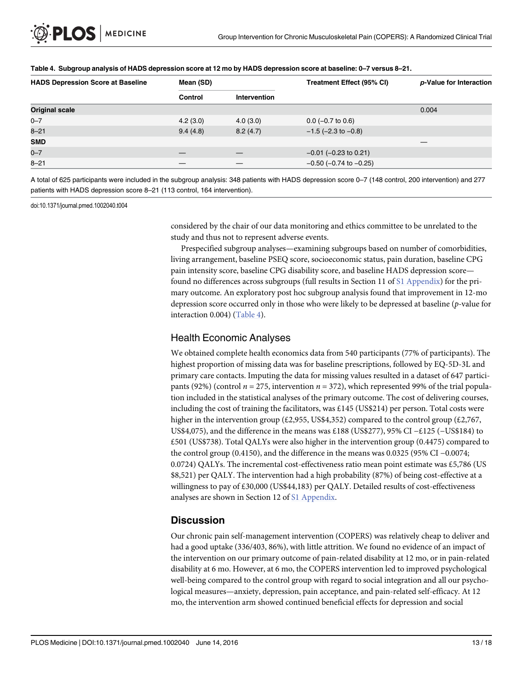| <b>HADS Depression Score at Baseline</b> | Mean (SD)                |              | Treatment Effect (95% CI)      | p-Value for Interaction |
|------------------------------------------|--------------------------|--------------|--------------------------------|-------------------------|
|                                          | <b>Control</b>           | Intervention |                                |                         |
| Original scale                           |                          |              |                                | 0.004                   |
| $0 - 7$                                  | 4.2(3.0)                 | 4.0(3.0)     | $0.0$ (-0.7 to 0.6)            |                         |
| $8 - 21$                                 | 9.4(4.8)                 | 8.2(4.7)     | $-1.5$ ( $-2.3$ to $-0.8$ )    |                         |
| <b>SMD</b>                               |                          |              |                                | __                      |
| $0 - 7$                                  | $\overline{\phantom{m}}$ |              | $-0.01$ ( $-0.23$ to 0.21)     |                         |
| $8 - 21$                                 |                          |              | $-0.50$ ( $-0.74$ to $-0.25$ ) |                         |

#### Table 4. Subgroup analysis of HADS depression score at 12 mo by HADS depression score at baseline: 0–7 versus 8–21.

A total of 625 participants were included in the subgroup analysis: 348 patients with HADS depression score 0–7 (148 control, 200 intervention) and 277 patients with HADS depression score 8–21 (113 control, 164 intervention).

doi:10.1371/journal.pmed.1002040.t004

considered by the chair of our data monitoring and ethics committee to be unrelated to the study and thus not to represent adverse events.

Prespecified subgroup analyses—examining subgroups based on number of comorbidities, living arrangement, baseline PSEQ score, socioeconomic status, pain duration, baseline CPG pain intensity score, baseline CPG disability score, and baseline HADS depression score found no differences across subgroups (full results in Section 11 of [S1 Appendix](#page-14-0)) for the primary outcome. An exploratory post hoc subgroup analysis found that improvement in 12-mo depression score occurred only in those who were likely to be depressed at baseline (p-value for interaction 0.004) (Table 4).

# Health Economic Analyses

We obtained complete health economics data from 540 participants (77% of participants). The highest proportion of missing data was for baseline prescriptions, followed by EQ-5D-3L and primary care contacts. Imputing the data for missing values resulted in a dataset of 647 participants (92%) (control  $n = 275$ , intervention  $n = 372$ ), which represented 99% of the trial population included in the statistical analyses of the primary outcome. The cost of delivering courses, including the cost of training the facilitators, was £145 (US\$214) per person. Total costs were higher in the intervention group (£2,955, US\$4,352) compared to the control group (£2,767, US\$4,075), and the difference in the means was £188 (US\$277), 95% CI −£125 (−US\$184) to £501 (US\$738). Total QALYs were also higher in the intervention group (0.4475) compared to the control group (0.4150), and the difference in the means was 0.0325 (95% CI −0.0074; 0.0724) QALYs. The incremental cost-effectiveness ratio mean point estimate was £5,786 (US \$8,521) per QALY. The intervention had a high probability (87%) of being cost-effective at a willingness to pay of £30,000 (US\$44,183) per QALY. Detailed results of cost-effectiveness analyses are shown in Section 12 of [S1 Appendix](#page-14-0).

# **Discussion**

Our chronic pain self-management intervention (COPERS) was relatively cheap to deliver and had a good uptake (336/403, 86%), with little attrition. We found no evidence of an impact of the intervention on our primary outcome of pain-related disability at 12 mo, or in pain-related disability at 6 mo. However, at 6 mo, the COPERS intervention led to improved psychological well-being compared to the control group with regard to social integration and all our psychological measures—anxiety, depression, pain acceptance, and pain-related self-efficacy. At 12 mo, the intervention arm showed continued beneficial effects for depression and social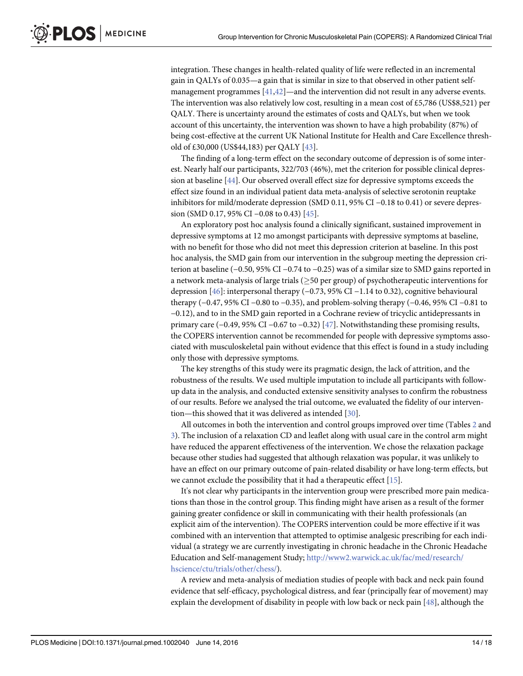<span id="page-13-0"></span>integration. These changes in health-related quality of life were reflected in an incremental gain in QALYs of 0.035—a gain that is similar in size to that observed in other patient selfmanagement programmes  $[41,42]$ —and the intervention did not result in any adverse events. The intervention was also relatively low cost, resulting in a mean cost of £5,786 (US\$8,521) per QALY. There is uncertainty around the estimates of costs and QALYs, but when we took account of this uncertainty, the intervention was shown to have a high probability (87%) of being cost-effective at the current UK National Institute for Health and Care Excellence threshold of £30,000 (US\$44,183) per QALY [[43\]](#page-17-0).

The finding of a long-term effect on the secondary outcome of depression is of some interest. Nearly half our participants, 322/703 (46%), met the criterion for possible clinical depression at baseline [\[44\]](#page-17-0). Our observed overall effect size for depressive symptoms exceeds the effect size found in an individual patient data meta-analysis of selective serotonin reuptake inhibitors for mild/moderate depression (SMD 0.11, 95% CI −0.18 to 0.41) or severe depres-sion (SMD 0.17, 95% CI −0.08 to 0.43) [\[45\]](#page-17-0).

An exploratory post hoc analysis found a clinically significant, sustained improvement in depressive symptoms at 12 mo amongst participants with depressive symptoms at baseline, with no benefit for those who did not meet this depression criterion at baseline. In this post hoc analysis, the SMD gain from our intervention in the subgroup meeting the depression criterion at baseline (−0.50, 95% CI −0.74 to −0.25) was of a similar size to SMD gains reported in a network meta-analysis of large trials ( $\geq$ 50 per group) of psychotherapeutic interventions for depression [\[46](#page-17-0)]: interpersonal therapy (−0.73, 95% CI −1.14 to 0.32), cognitive behavioural therapy (−0.47, 95% CI −0.80 to −0.35), and problem-solving therapy (−0.46, 95% CI −0.81 to −0.12), and to in the SMD gain reported in a Cochrane review of tricyclic antidepressants in primary care (−0.49, 95% CI −0.67 to −0.32) [[47](#page-17-0)]. Notwithstanding these promising results, the COPERS intervention cannot be recommended for people with depressive symptoms associated with musculoskeletal pain without evidence that this effect is found in a study including only those with depressive symptoms.

The key strengths of this study were its pragmatic design, the lack of attrition, and the robustness of the results. We used multiple imputation to include all participants with followup data in the analysis, and conducted extensive sensitivity analyses to confirm the robustness of our results. Before we analysed the trial outcome, we evaluated the fidelity of our intervention—this showed that it was delivered as intended [[30](#page-16-0)].

All outcomes in both the intervention and control groups improved over time (Tables [2](#page-9-0) and [3\)](#page-11-0). The inclusion of a relaxation CD and leaflet along with usual care in the control arm might have reduced the apparent effectiveness of the intervention. We chose the relaxation package because other studies had suggested that although relaxation was popular, it was unlikely to have an effect on our primary outcome of pain-related disability or have long-term effects, but we cannot exclude the possibility that it had a therapeutic effect [\[15\]](#page-15-0).

It's not clear why participants in the intervention group were prescribed more pain medications than those in the control group. This finding might have arisen as a result of the former gaining greater confidence or skill in communicating with their health professionals (an explicit aim of the intervention). The COPERS intervention could be more effective if it was combined with an intervention that attempted to optimise analgesic prescribing for each individual (a strategy we are currently investigating in chronic headache in the Chronic Headache Education and Self-management Study; [http://www2.warwick.ac.uk/fac/med/research/](http://www2.warwick.ac.uk/fac/med/research/hscience/ctu/trials/other/chess/) [hscience/ctu/trials/other/chess/](http://www2.warwick.ac.uk/fac/med/research/hscience/ctu/trials/other/chess/)).

A review and meta-analysis of mediation studies of people with back and neck pain found evidence that self-efficacy, psychological distress, and fear (principally fear of movement) may explain the development of disability in people with low back or neck pain  $[48]$  $[48]$ , although the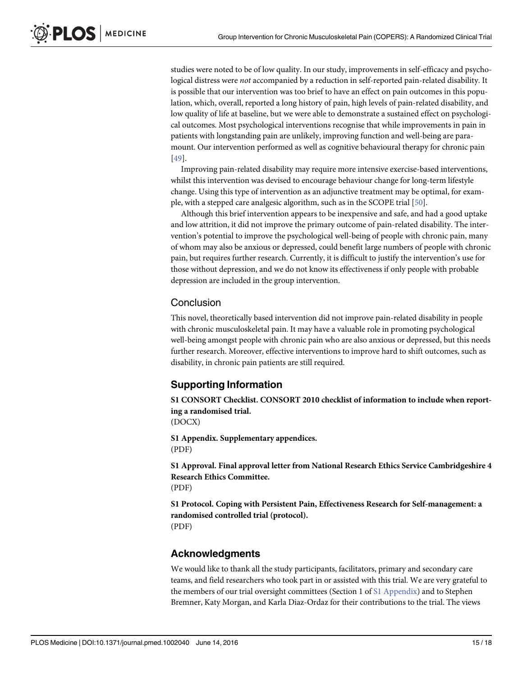<span id="page-14-0"></span>studies were noted to be of low quality. In our study, improvements in self-efficacy and psychological distress were not accompanied by a reduction in self-reported pain-related disability. It is possible that our intervention was too brief to have an effect on pain outcomes in this population, which, overall, reported a long history of pain, high levels of pain-related disability, and low quality of life at baseline, but we were able to demonstrate a sustained effect on psychological outcomes. Most psychological interventions recognise that while improvements in pain in patients with longstanding pain are unlikely, improving function and well-being are paramount. Our intervention performed as well as cognitive behavioural therapy for chronic pain [\[49](#page-17-0)].

Improving pain-related disability may require more intensive exercise-based interventions, whilst this intervention was devised to encourage behaviour change for long-term lifestyle change. Using this type of intervention as an adjunctive treatment may be optimal, for example, with a stepped care analgesic algorithm, such as in the SCOPE trial [[50](#page-17-0)].

Although this brief intervention appears to be inexpensive and safe, and had a good uptake and low attrition, it did not improve the primary outcome of pain-related disability. The intervention's potential to improve the psychological well-being of people with chronic pain, many of whom may also be anxious or depressed, could benefit large numbers of people with chronic pain, but requires further research. Currently, it is difficult to justify the intervention's use for those without depression, and we do not know its effectiveness if only people with probable depression are included in the group intervention.

#### Conclusion

This novel, theoretically based intervention did not improve pain-related disability in people with chronic musculoskeletal pain. It may have a valuable role in promoting psychological well-being amongst people with chronic pain who are also anxious or depressed, but this needs further research. Moreover, effective interventions to improve hard to shift outcomes, such as disability, in chronic pain patients are still required.

#### Supporting Information

[S1 CONSORT Checklist.](http://journals.plos.org/plosmedicine/article/asset?unique&id=info:doi/10.1371/journal.pmed.1002040.s001) CONSORT 2010 checklist of information to include when reporting a randomised trial.

(DOCX)

[S1 Appendix.](http://journals.plos.org/plosmedicine/article/asset?unique&id=info:doi/10.1371/journal.pmed.1002040.s002) Supplementary appendices. (PDF)

[S1 Approval](http://journals.plos.org/plosmedicine/article/asset?unique&id=info:doi/10.1371/journal.pmed.1002040.s003). Final approval letter from National Research Ethics Service Cambridgeshire 4 Research Ethics Committee. (PDF)

[S1 Protocol.](http://journals.plos.org/plosmedicine/article/asset?unique&id=info:doi/10.1371/journal.pmed.1002040.s004) Coping with Persistent Pain, Effectiveness Research for Self-management: a randomised controlled trial (protocol). (PDF)

#### Acknowledgments

We would like to thank all the study participants, facilitators, primary and secondary care teams, and field researchers who took part in or assisted with this trial. We are very grateful to the members of our trial oversight committees (Section 1 of S1 Appendix) and to Stephen Bremner, Katy Morgan, and Karla Diaz-Ordaz for their contributions to the trial. The views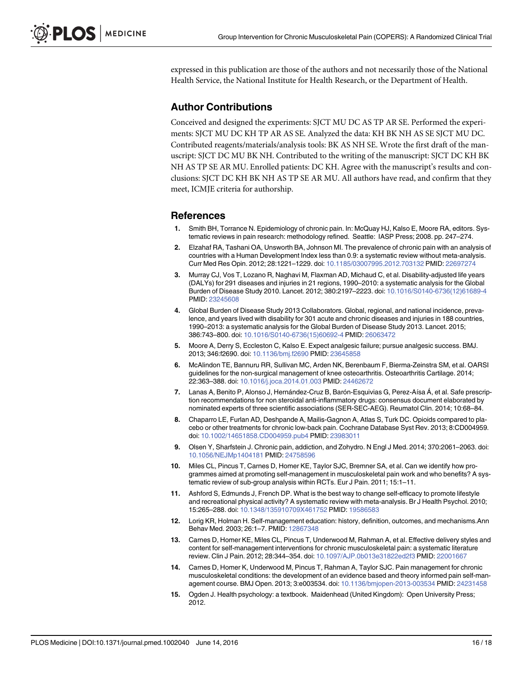<span id="page-15-0"></span>expressed in this publication are those of the authors and not necessarily those of the National Health Service, the National Institute for Health Research, or the Department of Health.

#### Author Contributions

Conceived and designed the experiments: SJCT MU DC AS TP AR SE. Performed the experiments: SJCT MU DC KH TP AR AS SE. Analyzed the data: KH BK NH AS SE SJCT MU DC. Contributed reagents/materials/analysis tools: BK AS NH SE. Wrote the first draft of the manuscript: SJCT DC MU BK NH. Contributed to the writing of the manuscript: SJCT DC KH BK NH AS TP SE AR MU. Enrolled patients: DC KH. Agree with the manuscript's results and conclusions: SJCT DC KH BK NH AS TP SE AR MU. All authors have read, and confirm that they meet, ICMJE criteria for authorship.

#### References

- [1.](#page-2-0) Smith BH, Torrance N. Epidemiology of chronic pain. In: McQuay HJ, Kalso E, Moore RA, editors. Systematic reviews in pain research: methodology refined. Seattle: IASP Press; 2008. pp. 247–274.
- [2.](#page-2-0) Elzahaf RA, Tashani OA, Unsworth BA, Johnson MI. The prevalence of chronic pain with an analysis of countries with a Human Development Index less than 0.9: a systematic review without meta-analysis. Curr Med Res Opin. 2012; 28:1221–1229. doi: [10.1185/03007995.2012.703132](http://dx.doi.org/10.1185/03007995.2012.703132) PMID: [22697274](http://www.ncbi.nlm.nih.gov/pubmed/22697274)
- [3.](#page-3-0) Murray CJ, Vos T, Lozano R, Naghavi M, Flaxman AD, Michaud C, et al. Disability-adjusted life years (DALYs) for 291 diseases and injuries in 21 regions, 1990–2010: a systematic analysis for the Global Burden of Disease Study 2010. Lancet. 2012; 380:2197–2223. doi: [10.1016/S0140-6736\(12\)61689-4](http://dx.doi.org/10.1016/S0140-6736(12)61689-4) PMID: [23245608](http://www.ncbi.nlm.nih.gov/pubmed/23245608)
- [4.](#page-3-0) Global Burden of Disease Study 2013 Collaborators. Global, regional, and national incidence, prevalence, and years lived with disability for 301 acute and chronic diseases and injuries in 188 countries, 1990–2013: a systematic analysis for the Global Burden of Disease Study 2013. Lancet. 2015; 386:743–800. doi: [10.1016/S0140-6736\(15\)60692-4](http://dx.doi.org/10.1016/S0140-6736(15)60692-4) PMID: [26063472](http://www.ncbi.nlm.nih.gov/pubmed/26063472)
- [5.](#page-3-0) Moore A, Derry S, Eccleston C, Kalso E. Expect analgesic failure; pursue analgesic success. BMJ. 2013; 346:f2690. doi: [10.1136/bmj.f2690](http://dx.doi.org/10.1136/bmj.f2690) PMID: [23645858](http://www.ncbi.nlm.nih.gov/pubmed/23645858)
- [6.](#page-3-0) McAlindon TE, Bannuru RR, Sullivan MC, Arden NK, Berenbaum F, Bierma-Zeinstra SM, et al. OARSI guidelines for the non-surgical management of knee osteoarthritis. Osteoarthritis Cartilage. 2014; 22:363–388. doi: [10.1016/j.joca.2014.01.003](http://dx.doi.org/10.1016/j.joca.2014.01.003) PMID: [24462672](http://www.ncbi.nlm.nih.gov/pubmed/24462672)
- [7.](#page-3-0) Lanas A, Benito P, Alonso J, Hernández-Cruz B, Barón-Esquivias G, Perez-Aísa Á, et al. Safe prescription recommendations for non steroidal anti-inflammatory drugs: consensus document elaborated by nominated experts of three scientific associations (SER-SEC-AEG). Reumatol Clin. 2014; 10:68–84.
- [8.](#page-3-0) Chaparro LE, Furlan AD, Deshpande A, Mailis-Gagnon A, Atlas S, Turk DC. Opioids compared to placebo or other treatments for chronic low-back pain. Cochrane Database Syst Rev. 2013; 8:CD004959. doi: [10.1002/14651858.CD004959.pub4](http://dx.doi.org/10.1002/14651858.CD004959.pub4) PMID: [23983011](http://www.ncbi.nlm.nih.gov/pubmed/23983011)
- [9.](#page-3-0) Olsen Y, Sharfstein J. Chronic pain, addiction, and Zohydro. N Engl J Med. 2014; 370:2061–2063. doi: [10.1056/NEJMp1404181](http://dx.doi.org/10.1056/NEJMp1404181) PMID: [24758596](http://www.ncbi.nlm.nih.gov/pubmed/24758596)
- [10.](#page-3-0) Miles CL, Pincus T, Carnes D, Homer KE, Taylor SJC, Bremner SA, et al. Can we identify how programmes aimed at promoting self-management in musculoskeletal pain work and who benefits? A systematic review of sub-group analysis within RCTs. Eur J Pain. 2011; 15:1–11.
- [11.](#page-3-0) Ashford S, Edmunds J, French DP. What is the best way to change self-efficacy to promote lifestyle and recreational physical activity? A systematic review with meta-analysis. Br J Health Psychol. 2010; 15:265–288. doi: [10.1348/135910709X461752](http://dx.doi.org/10.1348/135910709X461752) PMID: [19586583](http://www.ncbi.nlm.nih.gov/pubmed/19586583)
- [12.](#page-3-0) Lorig KR, Holman H. Self-management education: history, definition, outcomes, and mechanisms.Ann Behav Med. 2003; 26:1–7. PMID: [12867348](http://www.ncbi.nlm.nih.gov/pubmed/12867348)
- [13.](#page-3-0) Carnes D, Homer KE, Miles CL, Pincus T, Underwood M, Rahman A, et al. Effective delivery styles and content for self-management interventions for chronic musculoskeletal pain: a systematic literature review. Clin J Pain. 2012; 28:344–354. doi: [10.1097/AJP.0b013e31822ed2f3](http://dx.doi.org/10.1097/AJP.0b013e31822ed2f3) PMID: [22001667](http://www.ncbi.nlm.nih.gov/pubmed/22001667)
- [14.](#page-3-0) Carnes D, Homer K, Underwood M, Pincus T, Rahman A, Taylor SJC. Pain management for chronic musculoskeletal conditions: the development of an evidence based and theory informed pain self-management course. BMJ Open. 2013; 3:e003534. doi: [10.1136/bmjopen-2013-003534](http://dx.doi.org/10.1136/bmjopen-2013-003534) PMID: [24231458](http://www.ncbi.nlm.nih.gov/pubmed/24231458)
- [15.](#page-3-0) Ogden J. Health psychology: a textbook. Maidenhead (United Kingdom): Open University Press; 2012.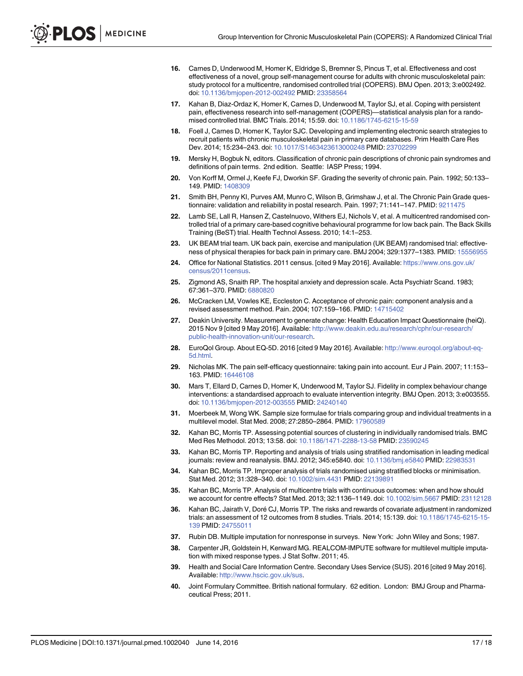- <span id="page-16-0"></span>[16.](#page-3-0) Carnes D, Underwood M, Homer K, Eldridge S, Bremner S, Pincus T, et al. Effectiveness and cost effectiveness of a novel, group self-management course for adults with chronic musculoskeletal pain: study protocol for a multicentre, randomised controlled trial (COPERS). BMJ Open. 2013; 3:e002492. doi: [10.1136/bmjopen-2012-002492](http://dx.doi.org/10.1136/bmjopen-2012-002492) PMID: [23358564](http://www.ncbi.nlm.nih.gov/pubmed/23358564)
- [17.](#page-3-0) Kahan B, Diaz-Ordaz K, Homer K, Carnes D, Underwood M, Taylor SJ, et al. Coping with persistent pain, effectiveness research into self-management (COPERS)—statistical analysis plan for a randomised controlled trial. BMC Trials. 2014; 15:59. doi: [10.1186/1745-6215-15-59](http://dx.doi.org/10.1186/1745-6215-15-59)
- [18.](#page-3-0) Foell J, Carnes D, Homer K, Taylor SJC. Developing and implementing electronic search strategies to recruit patients with chronic musculoskeletal pain in primary care databases. Prim Health Care Res Dev. 2014; 15:234–243. doi: [10.1017/S1463423613000248](http://dx.doi.org/10.1017/S1463423613000248) PMID: [23702299](http://www.ncbi.nlm.nih.gov/pubmed/23702299)
- [19.](#page-4-0) Mersky H, Bogbuk N, editors. Classification of chronic pain descriptions of chronic pain syndromes and definitions of pain terms. 2nd edition. Seattle: IASP Press; 1994.
- [20.](#page-4-0) Von Korff M, Ormel J, Keefe FJ, Dworkin SF. Grading the severity of chronic pain. Pain. 1992; 50:133– 149. PMID: [1408309](http://www.ncbi.nlm.nih.gov/pubmed/1408309)
- [21.](#page-4-0) Smith BH, Penny KI, Purves AM, Munro C, Wilson B, Grimshaw J, et al. The Chronic Pain Grade questionnaire: validation and reliability in postal research. Pain. 1997; 71:141–147. PMID: [9211475](http://www.ncbi.nlm.nih.gov/pubmed/9211475)
- [22.](#page-4-0) Lamb SE, Lall R, Hansen Z, Castelnuovo, Withers EJ, Nichols V, et al. A multicentred randomised controlled trial of a primary care-based cognitive behavioural programme for low back pain. The Back Skills Training (BeST) trial. Health Technol Assess. 2010; 14:1–253.
- [23.](#page-4-0) UK BEAM trial team. UK back pain, exercise and manipulation (UK BEAM) randomised trial: effectiveness of physical therapies for back pain in primary care. BMJ 2004; 329:1377–1383. PMID: [15556955](http://www.ncbi.nlm.nih.gov/pubmed/15556955)
- [24.](#page-4-0) Office for National Statistics. 2011 census. [cited 9 May 2016]. Available: [https://www.ons.gov.uk/](https://www.ons.gov.uk/census/2011census) [census/2011census](https://www.ons.gov.uk/census/2011census).
- [25.](#page-4-0) Zigmond AS, Snaith RP. The hospital anxiety and depression scale. Acta Psychiatr Scand. 1983; 67:361–370. PMID: [6880820](http://www.ncbi.nlm.nih.gov/pubmed/6880820)
- [26.](#page-4-0) McCracken LM, Vowles KE, Eccleston C. Acceptance of chronic pain: component analysis and a revised assessment method. Pain. 2004; 107:159–166. PMID: [14715402](http://www.ncbi.nlm.nih.gov/pubmed/14715402)
- [27.](#page-4-0) Deakin University. Measurement to generate change: Health Education Impact Questionnaire (heiQ). 2015 Nov 9 [cited 9 May 2016]. Available: [http://www.deakin.edu.au/research/cphr/our-research/](http://www.deakin.edu.au/research/cphr/our-research/public-health-innovation-unit/our-research) [public-health-innovation-unit/our-research.](http://www.deakin.edu.au/research/cphr/our-research/public-health-innovation-unit/our-research)
- [28.](#page-4-0) EuroQol Group. About EQ-5D. 2016 [cited 9 May 2016]. Available: [http://www.euroqol.org/about-eq-](http://www.euroqol.org/about-eq-5d.html)[5d.html.](http://www.euroqol.org/about-eq-5d.html)
- [29.](#page-4-0) Nicholas MK. The pain self-efficacy questionnaire: taking pain into account. Eur J Pain. 2007; 11:153– 163. PMID: [16446108](http://www.ncbi.nlm.nih.gov/pubmed/16446108)
- [30.](#page-6-0) Mars T, Ellard D, Carnes D, Homer K, Underwood M, Taylor SJ. Fidelity in complex behaviour change interventions: a standardised approach to evaluate intervention integrity. BMJ Open. 2013; 3:e003555. doi: [10.1136/bmjopen-2012-003555](http://dx.doi.org/10.1136/bmjopen-2012-003555) PMID: [24240140](http://www.ncbi.nlm.nih.gov/pubmed/24240140)
- [31.](#page-6-0) Moerbeek M, Wong WK. Sample size formulae for trials comparing group and individual treatments in a multilevel model. Stat Med. 2008; 27:2850–2864. PMID: [17960589](http://www.ncbi.nlm.nih.gov/pubmed/17960589)
- [32.](#page-6-0) Kahan BC, Morris TP. Assessing potential sources of clustering in individually randomised trials. BMC Med Res Methodol. 2013; 13:58. doi: [10.1186/1471-2288-13-58](http://dx.doi.org/10.1186/1471-2288-13-58) PMID: [23590245](http://www.ncbi.nlm.nih.gov/pubmed/23590245)
- [33.](#page-6-0) Kahan BC, Morris TP. Reporting and analysis of trials using stratified randomisation in leading medical journals: review and reanalysis. BMJ. 2012; 345:e5840. doi: [10.1136/bmj.e5840](http://dx.doi.org/10.1136/bmj.e5840) PMID: [22983531](http://www.ncbi.nlm.nih.gov/pubmed/22983531)
- [34.](#page-6-0) Kahan BC, Morris TP. Improper analysis of trials randomised using stratified blocks or minimisation. Stat Med. 2012; 31:328–340. doi: [10.1002/sim.4431](http://dx.doi.org/10.1002/sim.4431) PMID: [22139891](http://www.ncbi.nlm.nih.gov/pubmed/22139891)
- [35.](#page-6-0) Kahan BC, Morris TP. Analysis of multicentre trials with continuous outcomes: when and how should we account for centre effects? Stat Med. 2013; 32:1136–1149. doi: [10.1002/sim.5667](http://dx.doi.org/10.1002/sim.5667) PMID: [23112128](http://www.ncbi.nlm.nih.gov/pubmed/23112128)
- [36.](#page-6-0) Kahan BC, Jairath V, Doré CJ, Morris TP. The risks and rewards of covariate adjustment in randomized trials: an assessment of 12 outcomes from 8 studies. Trials. 2014; 15:139. doi: [10.1186/1745-6215-15-](http://dx.doi.org/10.1186/1745-6215-15-139) [139](http://dx.doi.org/10.1186/1745-6215-15-139) PMID: [24755011](http://www.ncbi.nlm.nih.gov/pubmed/24755011)
- [37.](#page-6-0) Rubin DB. Multiple imputation for nonresponse in surveys. New York: John Wiley and Sons; 1987.
- [38.](#page-7-0) Carpenter JR, Goldstein H, Kenward MG. REALCOM-IMPUTE software for multilevel multiple imputation with mixed response types. J Stat Softw. 2011; 45.
- [39.](#page-7-0) Health and Social Care Information Centre. Secondary Uses Service (SUS). 2016 [cited 9 May 2016]. Available: <http://www.hscic.gov.uk/sus>.
- [40.](#page-7-0) Joint Formulary Committee. British national formulary. 62 edition. London: BMJ Group and Pharmaceutical Press; 2011.